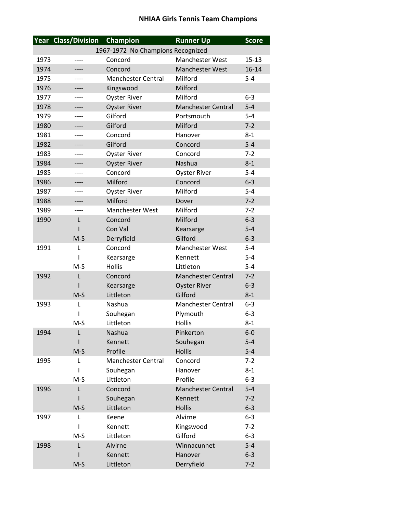## **NHIAA Girls Tennis Team Champions**

|      | Year Class/Division | Champion                          | <b>Runner Up</b>          | <b>Score</b>       |
|------|---------------------|-----------------------------------|---------------------------|--------------------|
|      |                     | 1967-1972 No Champions Recognized |                           |                    |
| 1973 |                     | Concord                           | Manchester West           | $15 - 13$          |
| 1974 |                     | Concord                           | Manchester West           | $16 - 14$          |
| 1975 |                     | <b>Manchester Central</b>         | Milford                   | $5 - 4$            |
| 1976 | ----                | Kingswood                         | Milford                   |                    |
| 1977 |                     | <b>Oyster River</b>               | Milford                   | $6 - 3$            |
| 1978 | ----                | <b>Oyster River</b>               | <b>Manchester Central</b> | $5-4$              |
| 1979 |                     | Gilford                           | Portsmouth                | $5 - 4$            |
| 1980 | ----                | Gilford                           | Milford                   | $7 - 2$            |
| 1981 |                     | Concord                           | Hanover                   | $8 - 1$            |
| 1982 | ----                | Gilford                           | Concord                   | $5-4$              |
| 1983 |                     | <b>Oyster River</b>               | Concord                   | $7 - 2$            |
| 1984 |                     | <b>Oyster River</b>               | Nashua                    | $8 - 1$            |
| 1985 | ----                | Concord                           | <b>Oyster River</b>       | $5 - 4$            |
| 1986 |                     | Milford                           | Concord                   | $6 - 3$            |
| 1987 | ----                | <b>Oyster River</b>               | Milford                   | $5 - 4$            |
| 1988 | ----                | Milford                           | Dover                     | $7 - 2$            |
| 1989 | ----                | <b>Manchester West</b>            | Milford                   | $7 - 2$            |
| 1990 | L                   | Concord                           | Milford                   | $6 - 3$            |
|      |                     | Con Val                           | Kearsarge                 | $5 - 4$            |
|      | $M-S$               | Derryfield                        | Gilford                   | $6 - 3$            |
| 1991 | L                   | Concord                           | <b>Manchester West</b>    | $5 - 4$            |
|      | ı                   | Kearsarge                         | Kennett                   | $5-4$              |
|      | $M-S$               | <b>Hollis</b>                     | Littleton                 | $5 - 4$            |
| 1992 | L                   | Concord                           | <b>Manchester Central</b> | $7-2$              |
|      |                     | Kearsarge                         | <b>Oyster River</b>       | $6 - 3$            |
|      | $M-S$               | Littleton                         | Gilford                   | $8 - 1$            |
| 1993 | L                   | Nashua                            | <b>Manchester Central</b> | $6 - 3$            |
|      |                     | Souhegan                          | Plymouth                  | $6-3$              |
|      | $M-S$               | Littleton                         | Hollis                    | $8 - 1$            |
| 1994 | L                   | Nashua                            | Pinkerton                 | $6-0$              |
|      |                     | Kennett                           | Souhegan                  | $5-4$              |
|      | $M-S$               | Profile                           | <b>Hollis</b>             | $5 - 4$            |
| 1995 | L                   | <b>Manchester Central</b>         | Concord                   | $7 - 2$            |
|      | I                   | Souhegan<br>Littleton             | Hanover<br>Profile        | $8 - 1$<br>$6 - 3$ |
| 1996 | $M-S$               | Concord                           | <b>Manchester Central</b> | $5-4$              |
|      | L                   |                                   | Kennett                   | $7-2$              |
|      | $M-S$               | Souhegan<br>Littleton             | <b>Hollis</b>             | $6 - 3$            |
| 1997 | L                   | Keene                             | Alvirne                   | $6 - 3$            |
|      | I                   | Kennett                           | Kingswood                 | $7 - 2$            |
|      | $M-S$               | Littleton                         | Gilford                   | $6 - 3$            |
| 1998 | L                   | Alvirne                           | Winnacunnet               | $5 - 4$            |
|      |                     | Kennett                           | Hanover                   | $6 - 3$            |
|      | $M-S$               | Littleton                         | Derryfield                | $7 - 2$            |
|      |                     |                                   |                           |                    |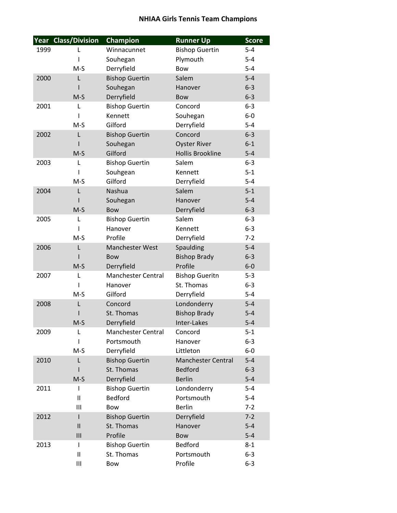## **NHIAA Girls Tennis Team Champions**

|      | Year Class/Division    | Champion                  | <b>Runner Up</b>          | <b>Score</b> |
|------|------------------------|---------------------------|---------------------------|--------------|
| 1999 | L                      | Winnacunnet               | <b>Bishop Guertin</b>     | $5 - 4$      |
|      | ı                      | Souhegan                  | Plymouth                  | $5-4$        |
|      | $M-S$                  | Derryfield                | Bow                       | $5 - 4$      |
| 2000 | L                      | <b>Bishop Guertin</b>     | Salem                     | $5-4$        |
|      |                        | Souhegan                  | Hanover                   | $6 - 3$      |
|      | $M-S$                  | Derryfield                | Bow                       | $6 - 3$      |
| 2001 | L                      | <b>Bishop Guertin</b>     | Concord                   | $6 - 3$      |
|      | T                      | Kennett                   | Souhegan                  | $6-0$        |
|      | $M-S$                  | Gilford                   | Derryfield                | $5 - 4$      |
| 2002 | L                      | <b>Bishop Guertin</b>     | Concord                   | $6 - 3$      |
|      |                        | Souhegan                  | <b>Oyster River</b>       | $6 - 1$      |
|      | $M-S$                  | Gilford                   | <b>Hollis Brookline</b>   | $5 - 4$      |
| 2003 | L                      | <b>Bishop Guertin</b>     | Salem                     | $6-3$        |
|      | L                      | Souhgean                  | Kennett                   | $5 - 1$      |
|      | $M-S$                  | Gilford                   | Derryfield                | $5 - 4$      |
| 2004 | L                      | Nashua                    | Salem                     | $5 - 1$      |
|      |                        | Souhegan                  | Hanover                   | $5-4$        |
|      | $M-S$                  | <b>Bow</b>                | Derryfield                | $6 - 3$      |
| 2005 | L                      | <b>Bishop Guertin</b>     | Salem                     | $6 - 3$      |
|      | ı                      | Hanover                   | Kennett                   | $6-3$        |
|      | $M-S$                  | Profile                   | Derryfield                | $7 - 2$      |
| 2006 | L                      | Manchester West           | Spaulding                 | $5-4$        |
|      |                        | <b>Bow</b>                | <b>Bishop Brady</b>       | $6 - 3$      |
|      | $M-S$                  | Derryfield                | Profile                   | $6-0$        |
| 2007 | L                      | <b>Manchester Central</b> | <b>Bishop Gueritn</b>     | $5 - 3$      |
|      | L                      | Hanover                   | St. Thomas                | $6 - 3$      |
|      | $M-S$                  | Gilford                   | Derryfield                | $5-4$        |
| 2008 | L                      | Concord                   | Londonderry               | $5 - 4$      |
|      |                        | St. Thomas                | <b>Bishop Brady</b>       | $5 - 4$      |
|      | $M-S$                  | Derryfield                | Inter-Lakes               | $5-4$        |
| 2009 | L                      | <b>Manchester Central</b> | Concord                   | $5 - 1$      |
|      | I.                     | Portsmouth                | Hanover                   | $6 - 3$      |
|      | $M-S$                  | Derryfield                | Littleton                 | $6-0$        |
| 2010 | L                      | <b>Bishop Guertin</b>     | <b>Manchester Central</b> | $5 - 4$      |
|      |                        | St. Thomas                | <b>Bedford</b>            | $6 - 3$      |
|      | $M-S$                  | Derryfield                | <b>Berlin</b>             | $5-4$        |
| 2011 | I                      | <b>Bishop Guertin</b>     | Londonderry               | $5-4$        |
|      | $\mathsf{I}$           | <b>Bedford</b>            | Portsmouth                | $5-4$        |
|      | Ш                      | Bow                       | <b>Berlin</b>             | $7 - 2$      |
| 2012 | ı                      | <b>Bishop Guertin</b>     | Derryfield                | $7 - 2$      |
|      | $\mathsf{II}$          | St. Thomas                | Hanover                   | $5 - 4$      |
|      | III                    | Profile                   | Bow                       | $5-4$        |
| 2013 | T                      | <b>Bishop Guertin</b>     | <b>Bedford</b>            | $8 - 1$      |
|      | $\mathsf{I}\mathsf{I}$ | St. Thomas                | Portsmouth                | $6 - 3$      |
|      | Ш                      | Bow                       | Profile                   | $6 - 3$      |